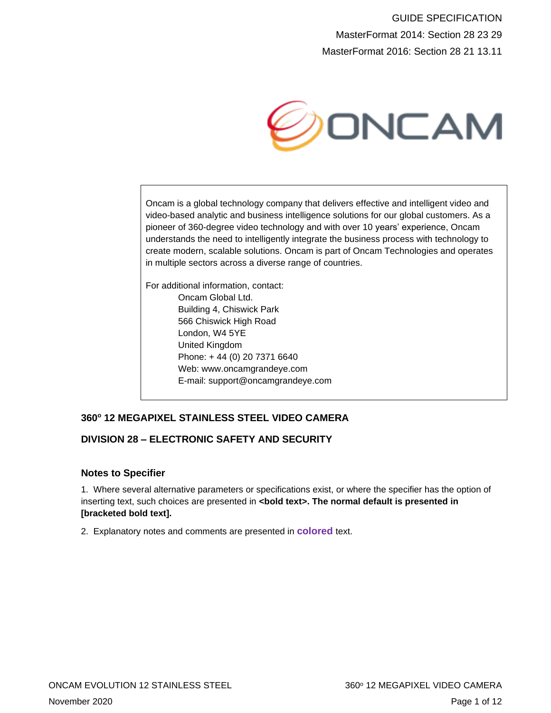GUIDE SPECIFICATION MasterFormat 2014: Section 28 23 29 MasterFormat 2016: Section 28 21 13.11



Oncam is a global technology company that delivers effective and intelligent video and video-based analytic and business intelligence solutions for our global customers. As a pioneer of 360-degree video technology and with over 10 years' experience, Oncam understands the need to intelligently integrate the business process with technology to create modern, scalable solutions. Oncam is part of Oncam Technologies and operates in multiple sectors across a diverse range of countries.

For additional information, contact: Oncam Global Ltd. Building 4, Chiswick Park 566 Chiswick High Road London, W4 5YE United Kingdom Phone: + 44 (0) 20 7371 6640 Web: www.oncamgrandeye.com E-mail: support@oncamgrandeye.com

# **360<sup>o</sup> 12 MEGAPIXEL STAINLESS STEEL VIDEO CAMERA**

# **DIVISION 28 – ELECTRONIC SAFETY AND SECURITY**

### **Notes to Specifier**

1. Where several alternative parameters or specifications exist, or where the specifier has the option of inserting text, such choices are presented in **<bold text>. The normal default is presented in [bracketed bold text].**

2. Explanatory notes and comments are presented in **colored** text.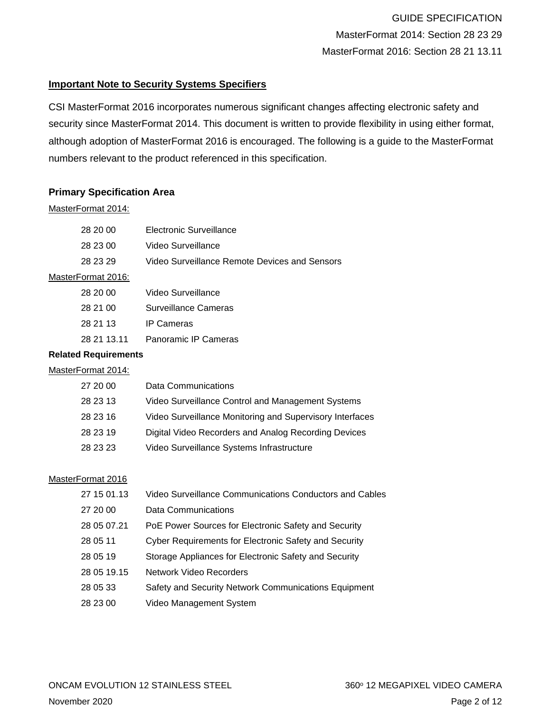# GUIDE SPECIFICATION MasterFormat 2014: Section 28 23 29 MasterFormat 2016: Section 28 21 13.11

# **Important Note to Security Systems Specifiers**

CSI MasterFormat 2016 incorporates numerous significant changes affecting electronic safety and security since MasterFormat 2014. This document is written to provide flexibility in using either format, although adoption of MasterFormat 2016 is encouraged. The following is a guide to the MasterFormat numbers relevant to the product referenced in this specification.

### **Primary Specification Area**

### MasterFormat 2014:

| 28 20 00                    | Electronic Surveillance                       |  |  |  |
|-----------------------------|-----------------------------------------------|--|--|--|
| 28 23 00                    | Video Surveillance                            |  |  |  |
| 28 23 29                    | Video Surveillance Remote Devices and Sensors |  |  |  |
| MasterFormat 2016:          |                                               |  |  |  |
| 28 20 00                    | Video Surveillance                            |  |  |  |
| 28 21 00                    | Surveillance Cameras                          |  |  |  |
| 28 21 13                    | <b>IP Cameras</b>                             |  |  |  |
| 28 21 13.11                 | Panoramic IP Cameras                          |  |  |  |
| <b>Delated Demolrancede</b> |                                               |  |  |  |

# **Related Requirements**

#### MasterFormat 2014:

| <b>Data Communications</b><br>27 20 00                               |  |
|----------------------------------------------------------------------|--|
| Video Surveillance Control and Management Systems<br>28 23 13        |  |
| Video Surveillance Monitoring and Supervisory Interfaces<br>28 23 16 |  |
| 28 23 19<br>Digital Video Recorders and Analog Recording Devices     |  |
| 28 23 23<br>Video Surveillance Systems Infrastructure                |  |

#### MasterFormat 2016

| 27 15 01.13 | Video Surveillance Communications Conductors and Cables |
|-------------|---------------------------------------------------------|
| 27 20 00    | Data Communications                                     |
| 28 05 07.21 | PoE Power Sources for Electronic Safety and Security    |
| 28 05 11    | Cyber Requirements for Electronic Safety and Security   |
| 28 05 19    | Storage Appliances for Electronic Safety and Security   |
| 28 05 19.15 | Network Video Recorders                                 |
| 28 05 33    | Safety and Security Network Communications Equipment    |
| 28 23 00    | Video Management System                                 |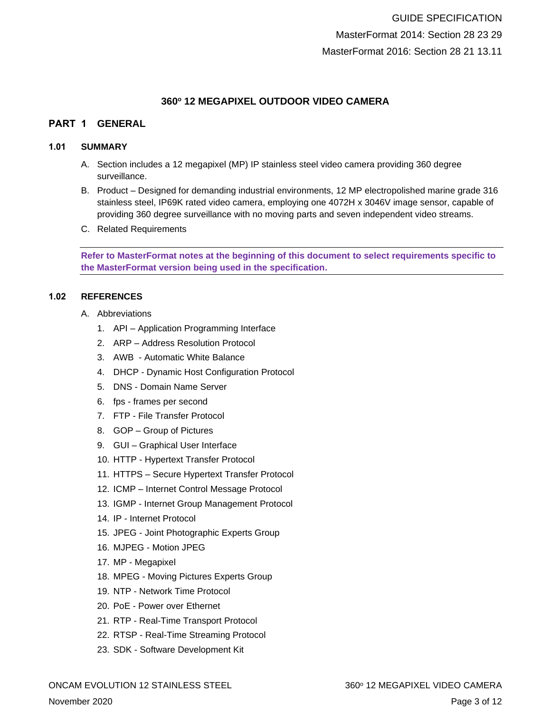# **360<sup>o</sup> 12 MEGAPIXEL OUTDOOR VIDEO CAMERA**

# **PART 1 GENERAL**

### **1.01 SUMMARY**

- A. Section includes a 12 megapixel (MP) IP stainless steel video camera providing 360 degree surveillance.
- B. Product Designed for demanding industrial environments, 12 MP electropolished marine grade 316 stainless steel, IP69K rated video camera, employing one 4072H x 3046V image sensor, capable of providing 360 degree surveillance with no moving parts and seven independent video streams.
- C. Related Requirements

**Refer to MasterFormat notes at the beginning of this document to select requirements specific to the MasterFormat version being used in the specification.**

### **1.02 REFERENCES**

- A. Abbreviations
	- 1. API Application Programming Interface
	- 2. ARP Address Resolution Protocol
	- 3. AWB Automatic White Balance
	- 4. DHCP Dynamic Host Configuration Protocol
	- 5. DNS Domain Name Server
	- 6. fps frames per second
	- 7. FTP File Transfer Protocol
	- 8. GOP Group of Pictures
	- 9. GUI Graphical User Interface
	- 10. HTTP Hypertext Transfer Protocol
	- 11. HTTPS Secure Hypertext Transfer Protocol
	- 12. ICMP Internet Control Message Protocol
	- 13. IGMP Internet Group Management Protocol
	- 14. IP Internet Protocol
	- 15. JPEG Joint Photographic Experts Group
	- 16. MJPEG Motion JPEG
	- 17. MP Megapixel
	- 18. MPEG Moving Pictures Experts Group
	- 19. NTP Network Time Protocol
	- 20. PoE Power over Ethernet
	- 21. RTP Real-Time Transport Protocol
	- 22. RTSP Real-Time Streaming Protocol
	- 23. SDK Software Development Kit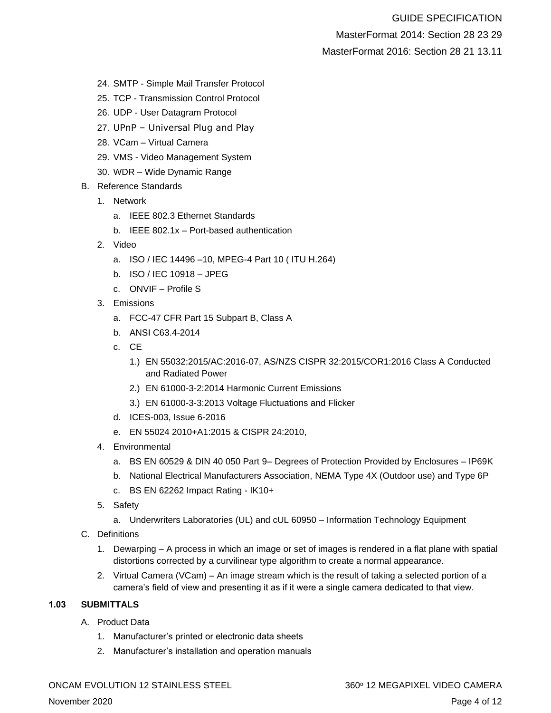# MasterFormat 2014: Section 28 23 29

MasterFormat 2016: Section 28 21 13.11

- 24. SMTP Simple Mail Transfer Protocol
- 25. TCP Transmission Control Protocol
- 26. UDP User Datagram Protocol
- 27. UPnP Universal Plug and Play
- 28. VCam Virtual Camera
- 29. VMS Video Management System
- 30. WDR Wide Dynamic Range
- B. Reference Standards
	- 1. Network
		- a. IEEE 802.3 Ethernet Standards
		- b. IEEE 802.1x Port-based authentication
	- 2. Video
		- a. ISO / IEC 14496 –10, MPEG-4 Part 10 ( ITU H.264)
		- b. ISO / IEC 10918 JPEG
		- c. ONVIF Profile S
	- 3. Emissions
		- a. FCC-47 CFR Part 15 Subpart B, Class A
		- b. ANSI C63.4-2014
		- c. CE
			- 1.) EN 55032:2015/AC:2016-07, AS/NZS CISPR 32:2015/COR1:2016 Class A Conducted and Radiated Power
			- 2.) EN 61000-3-2:2014 Harmonic Current Emissions
			- 3.) EN 61000-3-3:2013 Voltage Fluctuations and Flicker
		- d. ICES-003, Issue 6-2016
		- e. EN 55024 2010+A1:2015 & CISPR 24:2010,
	- 4. Environmental
		- a. BS EN 60529 & DIN 40 050 Part 9– Degrees of Protection Provided by Enclosures IP69K
		- b. National Electrical Manufacturers Association, NEMA Type 4X (Outdoor use) and Type 6P
		- c. BS EN 62262 Impact Rating IK10+
	- 5. Safety
		- a. Underwriters Laboratories (UL) and cUL 60950 Information Technology Equipment
- C. Definitions
	- 1. Dewarping A process in which an image or set of images is rendered in a flat plane with spatial distortions corrected by a curvilinear type algorithm to create a normal appearance.
	- 2. Virtual Camera (VCam) An image stream which is the result of taking a selected portion of a camera's field of view and presenting it as if it were a single camera dedicated to that view.

### **1.03 SUBMITTALS**

- A. Product Data
	- 1. Manufacturer's printed or electronic data sheets
	- 2. Manufacturer's installation and operation manuals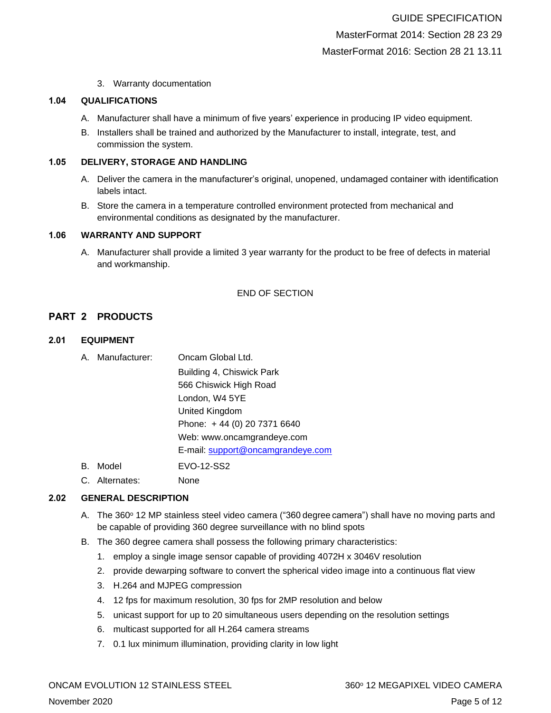3. Warranty documentation

### **1.04 QUALIFICATIONS**

- A. Manufacturer shall have a minimum of five years' experience in producing IP video equipment.
- B. Installers shall be trained and authorized by the Manufacturer to install, integrate, test, and commission the system.

### **1.05 DELIVERY, STORAGE AND HANDLING**

- A. Deliver the camera in the manufacturer's original, unopened, undamaged container with identification labels intact.
- B. Store the camera in a temperature controlled environment protected from mechanical and environmental conditions as designated by the manufacturer.

#### **1.06 WARRANTY AND SUPPORT**

A. Manufacturer shall provide a limited 3 year warranty for the product to be free of defects in material and workmanship.

### END OF SECTION

# **PART 2 PRODUCTS**

### **2.01 EQUIPMENT**

|    | A. Manufacturer: | Oncam Global Ltd.                 |
|----|------------------|-----------------------------------|
|    |                  | Building 4, Chiswick Park         |
|    |                  | 566 Chiswick High Road            |
|    |                  | London, W4 5YE                    |
|    |                  | United Kingdom                    |
|    |                  | Phone: +44 (0) 20 7371 6640       |
|    |                  | Web: www.oncamgrandeye.com        |
|    |                  | E-mail: support@oncamgrandeye.com |
| В. | Model            | EVO-12-SS2                        |
|    | C. Alternates:   | None                              |

### **2.02 GENERAL DESCRIPTION**

- A. The 360° 12 MP stainless steel video camera ("360 degree camera") shall have no moving parts and be capable of providing 360 degree surveillance with no blind spots
- B. The 360 degree camera shall possess the following primary characteristics:
	- 1. employ a single image sensor capable of providing 4072H x 3046V resolution
	- 2. provide dewarping software to convert the spherical video image into a continuous flat view
	- 3. H.264 and MJPEG compression
	- 4. 12 fps for maximum resolution, 30 fps for 2MP resolution and below
	- 5. unicast support for up to 20 simultaneous users depending on the resolution settings
	- 6. multicast supported for all H.264 camera streams
	- 7. 0.1 lux minimum illumination, providing clarity in low light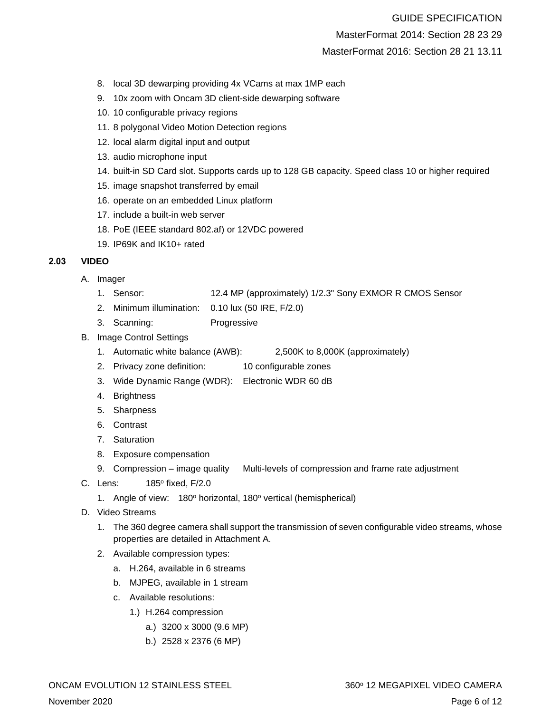# MasterFormat 2014: Section 28 23 29

MasterFormat 2016: Section 28 21 13.11

- 8. local 3D dewarping providing 4x VCams at max 1MP each
- 9. 10x zoom with Oncam 3D client-side dewarping software
- 10. 10 configurable privacy regions
- 11. 8 polygonal Video Motion Detection regions
- 12. local alarm digital input and output
- 13. audio microphone input
- 14. built-in SD Card slot. Supports cards up to 128 GB capacity. Speed class 10 or higher required
- 15. image snapshot transferred by email
- 16. operate on an embedded Linux platform
- 17. include a built-in web server
- 18. PoE (IEEE standard 802.af) or 12VDC powered
- 19. IP69K and IK10+ rated

### **2.03 VIDEO**

- A. Imager
	- 1. Sensor: 12.4 MP (approximately) 1/2.3" Sony EXMOR R CMOS Sensor
	- 2. Minimum illumination: 0.10 lux (50 IRE, F/2.0)
	- 3. Scanning: Progressive
- B. Image Control Settings
	- 1. Automatic white balance (AWB): 2,500K to 8,000K (approximately)
	- 2. Privacy zone definition: 10 configurable zones
	- 3. Wide Dynamic Range (WDR): Electronic WDR 60 dB
	- 4. Brightness
	- 5. Sharpness
	- 6. Contrast
	- 7. Saturation
	- 8. Exposure compensation
	- 9. Compression image quality Multi-levels of compression and frame rate adjustment
- C. Lens: 185 $\circ$  fixed, F/2.0
	- 1. Angle of view: 180° horizontal, 180° vertical (hemispherical)
- D. Video Streams
	- 1. The 360 degree camera shall support the transmission of seven configurable video streams, whose properties are detailed in Attachment A.
	- 2. Available compression types:
		- a. H.264, available in 6 streams
		- b. MJPEG, available in 1 stream
		- c. Available resolutions:
			- 1.) H.264 compression
				- a.) 3200 x 3000 (9.6 MP)
				- b.) 2528 x 2376 (6 MP)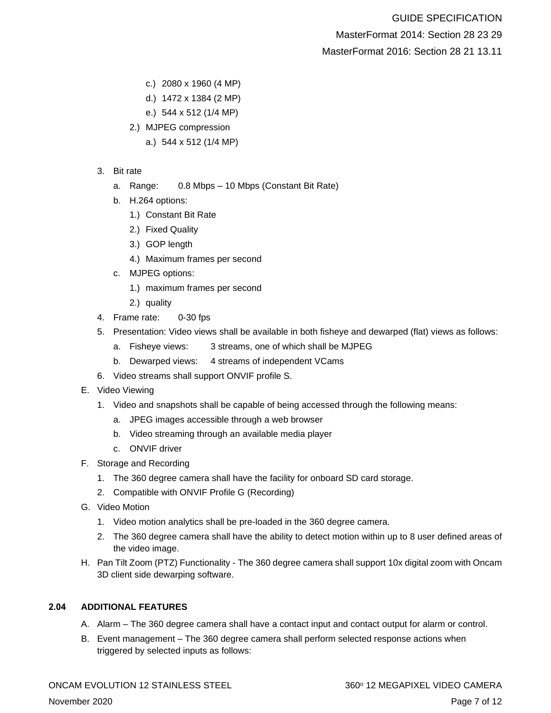# MasterFormat 2014: Section 28 23 29

MasterFormat 2016: Section 28 21 13.11

- c.) 2080 x 1960 (4 MP)
- d.) 1472 x 1384 (2 MP)
- e.) 544 x 512 (1/4 MP)
- 2.) MJPEG compression
	- a.) 544 x 512 (1/4 MP)
- 3. Bit rate
	- a. Range: 0.8 Mbps 10 Mbps (Constant Bit Rate)
	- b. H.264 options:
		- 1.) Constant Bit Rate
		- 2.) Fixed Quality
		- 3.) GOP length
		- 4.) Maximum frames per second
	- c. MJPEG options:
		- 1.) maximum frames per second
		- 2.) quality
- 4. Frame rate: 0-30 fps
- 5. Presentation: Video views shall be available in both fisheye and dewarped (flat) views as follows:
	- a. Fisheye views: 3 streams, one of which shall be MJPEG
	- b. Dewarped views: 4 streams of independent VCams
- 6. Video streams shall support ONVIF profile S.
- E. Video Viewing
	- 1. Video and snapshots shall be capable of being accessed through the following means:
		- a. JPEG images accessible through a web browser
		- b. Video streaming through an available media player
		- c. ONVIF driver
- F. Storage and Recording
	- 1. The 360 degree camera shall have the facility for onboard SD card storage.
	- 2. Compatible with ONVIF Profile G (Recording)
- G. Video Motion
	- 1. Video motion analytics shall be pre-loaded in the 360 degree camera.
	- 2. The 360 degree camera shall have the ability to detect motion within up to 8 user defined areas of the video image.
- H. Pan Tilt Zoom (PTZ) Functionality The 360 degree camera shall support 10x digital zoom with Oncam 3D client side dewarping software.

# **2.04 ADDITIONAL FEATURES**

- A. Alarm The 360 degree camera shall have a contact input and contact output for alarm or control.
- B. Event management The 360 degree camera shall perform selected response actions when triggered by selected inputs as follows: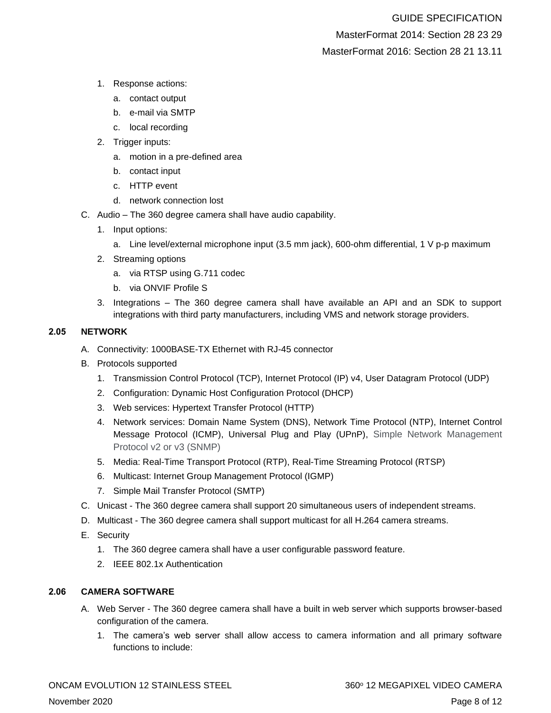# MasterFormat 2014: Section 28 23 29

MasterFormat 2016: Section 28 21 13.11

- 1. Response actions:
	- a. contact output
	- b. e-mail via SMTP
	- c. local recording
- 2. Trigger inputs:
	- a. motion in a pre-defined area
	- b. contact input
	- c. HTTP event
	- d. network connection lost
- C. Audio The 360 degree camera shall have audio capability.
	- 1. Input options:
		- a. Line level/external microphone input (3.5 mm jack), 600-ohm differential, 1 V p-p maximum
	- 2. Streaming options
		- a. via RTSP using G.711 codec
		- b. via ONVIF Profile S
	- 3. Integrations The 360 degree camera shall have available an API and an SDK to support integrations with third party manufacturers, including VMS and network storage providers.

### **2.05 NETWORK**

- A. Connectivity: 1000BASE-TX Ethernet with RJ-45 connector
- B. Protocols supported
	- 1. Transmission Control Protocol (TCP), Internet Protocol (IP) v4, User Datagram Protocol (UDP)
	- 2. Configuration: Dynamic Host Configuration Protocol (DHCP)
	- 3. Web services: Hypertext Transfer Protocol (HTTP)
	- 4. Network services: Domain Name System (DNS), Network Time Protocol (NTP), Internet Control Message Protocol (ICMP), Universal Plug and Play (UPnP), Simple Network Management Protocol v2 or v3 (SNMP)
	- 5. Media: Real-Time Transport Protocol (RTP), Real-Time Streaming Protocol (RTSP)
	- 6. Multicast: Internet Group Management Protocol (IGMP)
	- 7. Simple Mail Transfer Protocol (SMTP)
- C. Unicast The 360 degree camera shall support 20 simultaneous users of independent streams.
- D. Multicast The 360 degree camera shall support multicast for all H.264 camera streams.
- E. Security
	- 1. The 360 degree camera shall have a user configurable password feature.
	- 2. IEEE 802.1x Authentication

### **2.06 CAMERA SOFTWARE**

- A. Web Server The 360 degree camera shall have a built in web server which supports browser-based configuration of the camera.
	- 1. The camera's web server shall allow access to camera information and all primary software functions to include: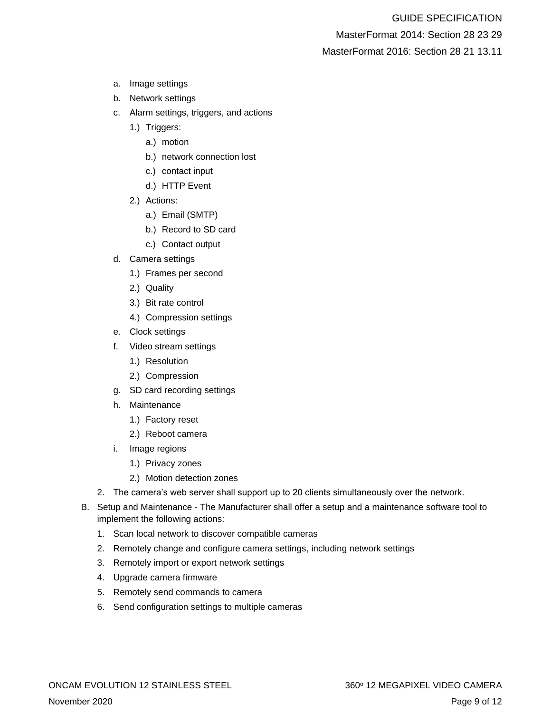# MasterFormat 2014: Section 28 23 29

MasterFormat 2016: Section 28 21 13.11

- a. Image settings
- b. Network settings
- c. Alarm settings, triggers, and actions
	- 1.) Triggers:
		- a.) motion
		- b.) network connection lost
		- c.) contact input
		- d.) HTTP Event
	- 2.) Actions:
		- a.) Email (SMTP)
		- b.) Record to SD card
		- c.) Contact output
- d. Camera settings
	- 1.) Frames per second
	- 2.) Quality
	- 3.) Bit rate control
	- 4.) Compression settings
- e. Clock settings
- f. Video stream settings
	- 1.) Resolution
	- 2.) Compression
- g. SD card recording settings
- h. Maintenance
	- 1.) Factory reset
	- 2.) Reboot camera
- i. Image regions
	- 1.) Privacy zones
	- 2.) Motion detection zones
- 2. The camera's web server shall support up to 20 clients simultaneously over the network.
- B. Setup and Maintenance The Manufacturer shall offer a setup and a maintenance software tool to implement the following actions:
	- 1. Scan local network to discover compatible cameras
	- 2. Remotely change and configure camera settings, including network settings
	- 3. Remotely import or export network settings
	- 4. Upgrade camera firmware
	- 5. Remotely send commands to camera
	- 6. Send configuration settings to multiple cameras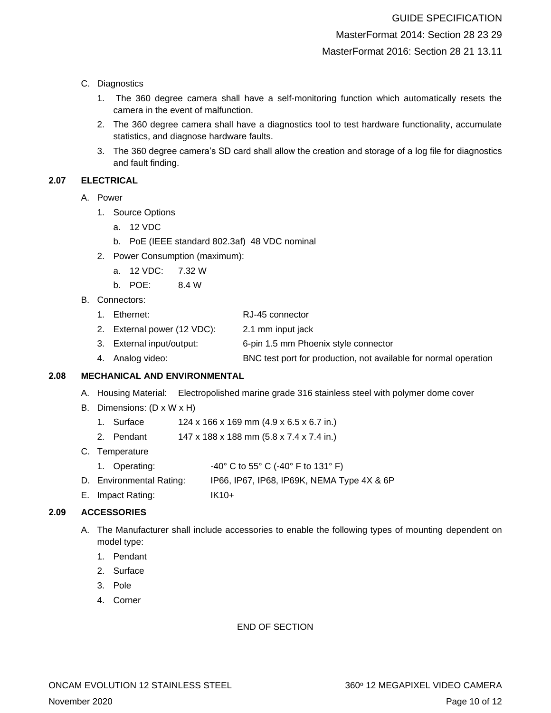# MasterFormat 2014: Section 28 23 29

MasterFormat 2016: Section 28 21 13.11

- C. Diagnostics
	- 1. The 360 degree camera shall have a self-monitoring function which automatically resets the camera in the event of malfunction.
	- 2. The 360 degree camera shall have a diagnostics tool to test hardware functionality, accumulate statistics, and diagnose hardware faults.
	- 3. The 360 degree camera's SD card shall allow the creation and storage of a log file for diagnostics and fault finding.

### **2.07 ELECTRICAL**

- A. Power
	- 1. Source Options
		- a. 12 VDC
		- b. PoE (IEEE standard 802.3af) 48 VDC nominal
	- 2. Power Consumption (maximum):
		- a. 12 VDC: 7.32 W
		- b. POE: 8.4 W
- B. Connectors:
	- 1. Ethernet: RJ-45 connector
	- 2. External power (12 VDC): 2.1 mm input jack
	- 3. External input/output: 6-pin 1.5 mm Phoenix style connector
	- 4. Analog video: BNC test port for production, not available for normal operation

#### **2.08 MECHANICAL AND ENVIRONMENTAL**

- A. Housing Material: Electropolished marine grade 316 stainless steel with polymer dome cover
- B. Dimensions: (D x W x H)
	- 1. Surface 124 x 166 x 169 mm (4.9 x 6.5 x 6.7 in.)
	- 2. Pendant 147 x 188 x 188 mm (5.8 x 7.4 x 7.4 in.)
- C. Temperature
	- 1. Operating:  $-40^\circ$  C to 55° C (-40° F to 131° F)
- D. Environmental Rating: IP66, IP67, IP68, IP69K, NEMA Type 4X & 6P
- E. Impact Rating: IK10+

### **2.09 ACCESSORIES**

- A. The Manufacturer shall include accessories to enable the following types of mounting dependent on model type:
	- 1. Pendant
	- 2. Surface
	- 3. Pole
	- 4. Corner

END OF SECTION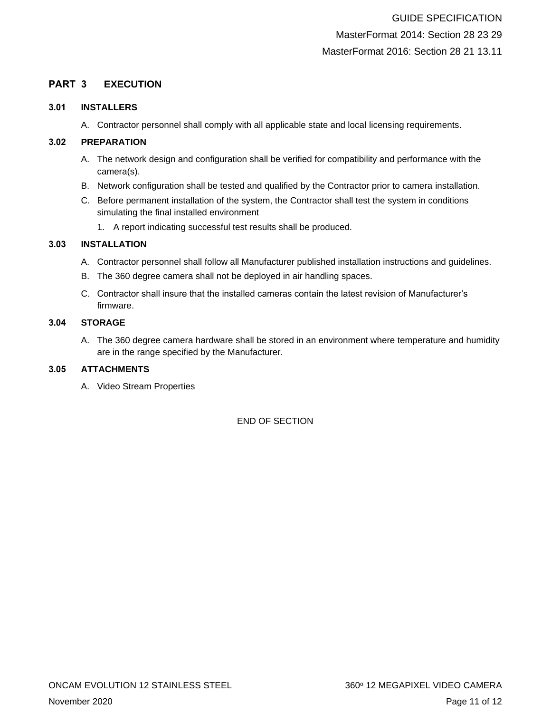# **PART 3 EXECUTION**

### **3.01 INSTALLERS**

A. Contractor personnel shall comply with all applicable state and local licensing requirements.

### **3.02 PREPARATION**

- A. The network design and configuration shall be verified for compatibility and performance with the camera(s).
- B. Network configuration shall be tested and qualified by the Contractor prior to camera installation.
- C. Before permanent installation of the system, the Contractor shall test the system in conditions simulating the final installed environment
	- 1. A report indicating successful test results shall be produced.

### **3.03 INSTALLATION**

- A. Contractor personnel shall follow all Manufacturer published installation instructions and guidelines.
- B. The 360 degree camera shall not be deployed in air handling spaces.
- C. Contractor shall insure that the installed cameras contain the latest revision of Manufacturer's firmware.

### **3.04 STORAGE**

A. The 360 degree camera hardware shall be stored in an environment where temperature and humidity are in the range specified by the Manufacturer.

# **3.05 ATTACHMENTS**

A. Video Stream Properties

END OF SECTION